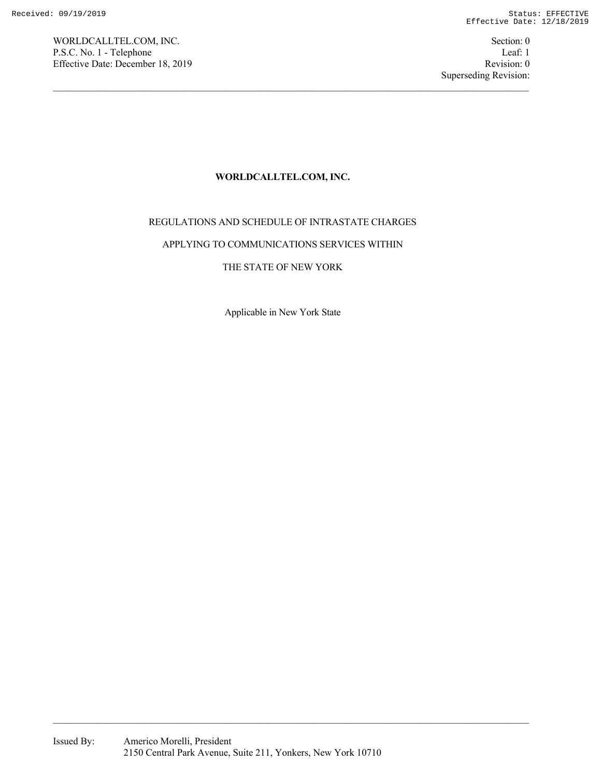WORLDCALLTEL.COM, INC. Section: 0 P.S.C. No. 1 - Telephone Leaf: 1 Effective Date: December 18, 2019 Revision: 0

## **WORLDCALLTEL.COM, INC.**

# REGULATIONS AND SCHEDULE OF INTRASTATE CHARGES

### APPLYING TO COMMUNICATIONS SERVICES WITHIN

# THE STATE OF NEW YORK

Applicable in New York State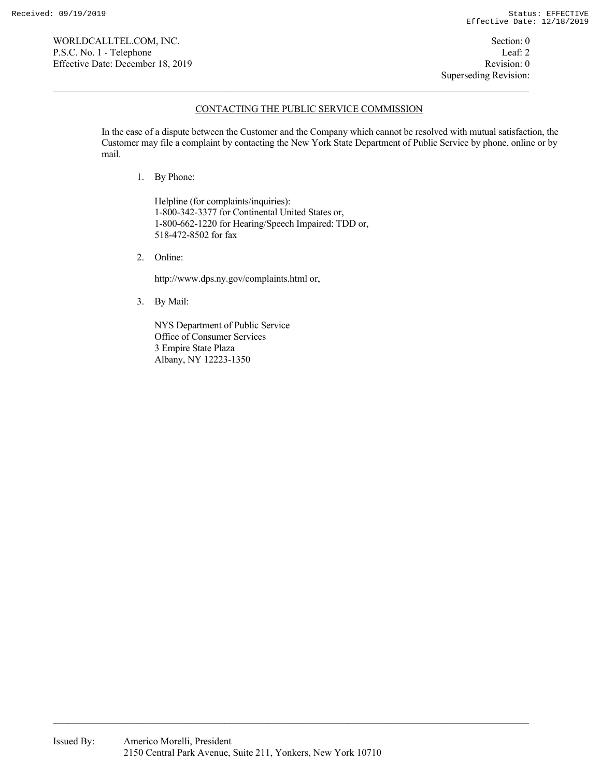WORLDCALLTEL.COM, INC. Section: 0 P.S.C. No. 1 - Telephone Leaf: 2 Effective Date: December 18, 2019 Revision: 0

### CONTACTING THE PUBLIC SERVICE COMMISSION

In the case of a dispute between the Customer and the Company which cannot be resolved with mutual satisfaction, the Customer may file a complaint by contacting the New York State Department of Public Service by phone, online or by mail.

1. By Phone:

Helpline (for complaints/inquiries): 1-800-342-3377 for Continental United States or, 1-800-662-1220 for Hearing/Speech Impaired: TDD or, 518-472-8502 for fax

2. Online:

http://www.dps.ny.gov/complaints.html or,

3. By Mail:

NYS Department of Public Service Office of Consumer Services 3 Empire State Plaza Albany, NY 12223-1350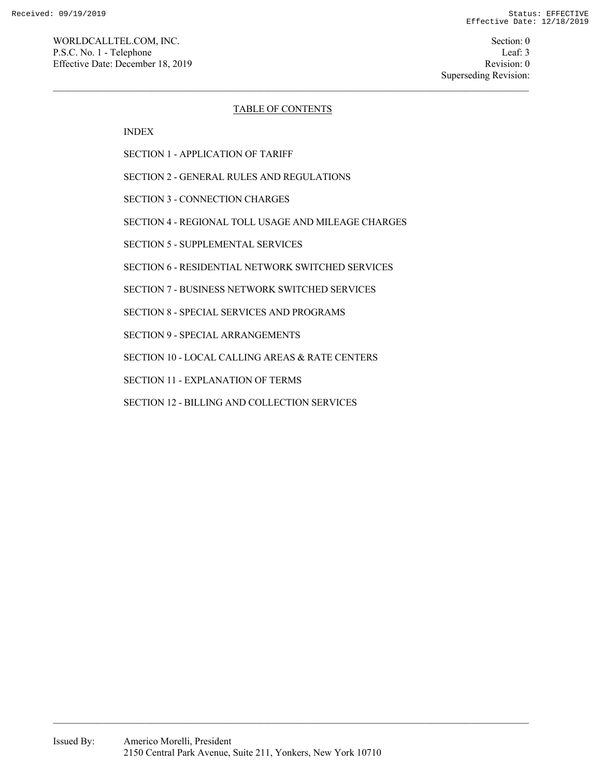Superseding Revision:

## TABLE OF CONTENTS

INDEX

SECTION 1 - APPLICATION OF TARIFF

SECTION 2 - GENERAL RULES AND REGULATIONS

SECTION 3 - CONNECTION CHARGES

SECTION 4 - REGIONAL TOLL USAGE AND MILEAGE CHARGES

SECTION 5 - SUPPLEMENTAL SERVICES

SECTION 6 - RESIDENTIAL NETWORK SWITCHED SERVICES

SECTION 7 - BUSINESS NETWORK SWITCHED SERVICES

SECTION 8 - SPECIAL SERVICES AND PROGRAMS

SECTION 9 - SPECIAL ARRANGEMENTS

SECTION 10 - LOCAL CALLING AREAS & RATE CENTERS

SECTION 11 - EXPLANATION OF TERMS

SECTION 12 - BILLING AND COLLECTION SERVICES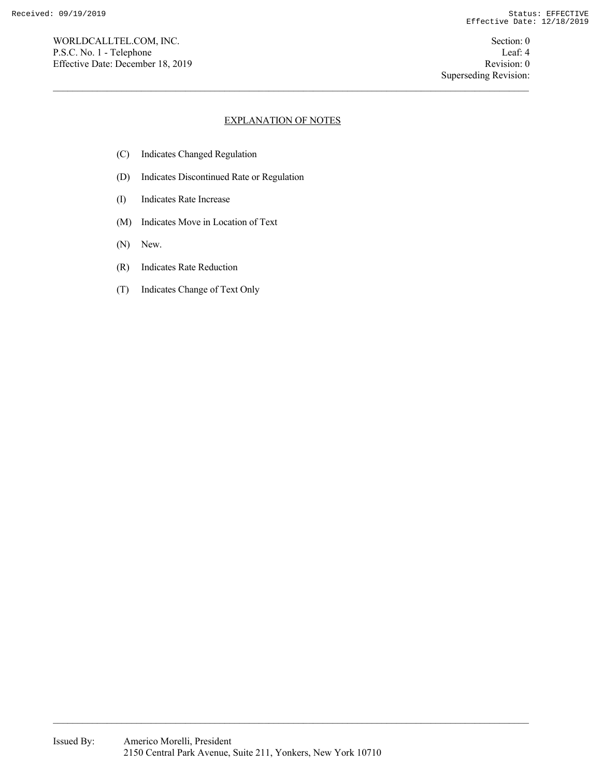WORLDCALLTEL.COM, INC. Section: 0 P.S.C. No. 1 - Telephone Leaf: 4 Effective Date: December 18, 2019 Revision: 0

# EXPLANATION OF NOTES

- (C) Indicates Changed Regulation
- (D) Indicates Discontinued Rate or Regulation
- (I) Indicates Rate Increase
- (M) Indicates Move in Location of Text
- (N) New.
- (R) Indicates Rate Reduction
- (T) Indicates Change of Text Only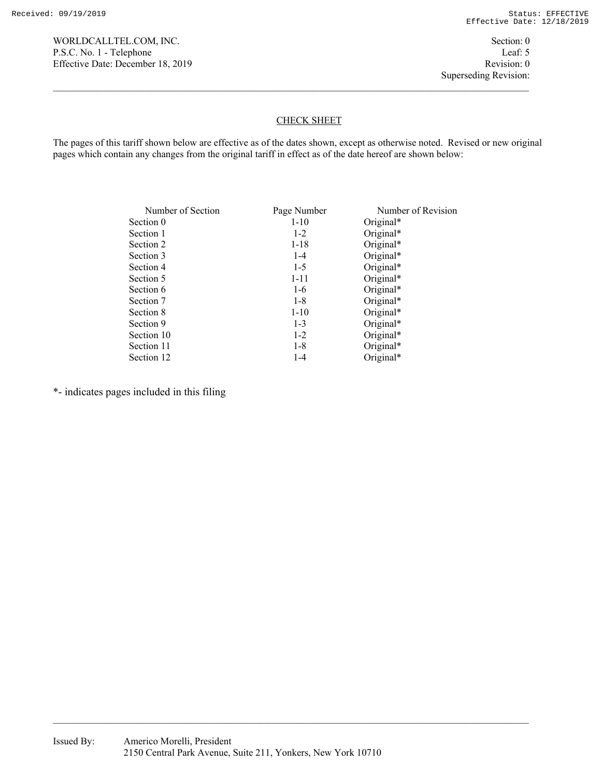Superseding Revision:

## CHECK SHEET

The pages of this tariff shown below are effective as of the dates shown, except as otherwise noted. Revised or new original pages which contain any changes from the original tariff in effect as of the date hereof are shown below:

| Number of Section | Page Number | Number of Revision |
|-------------------|-------------|--------------------|
| Section 0         | $1 - 10$    | Original*          |
| Section 1         | $1 - 2$     | Original*          |
| Section 2         | $1 - 18$    | Original*          |
| Section 3         | $1-4$       | Original*          |
| Section 4         | $1 - 5$     | Original*          |
| Section 5         | $1 - 11$    | Original*          |
| Section 6         | $1-6$       | Original*          |
| Section 7         | $1-8$       | Original*          |
| Section 8         | $1 - 10$    | Original*          |
| Section 9         | $1 - 3$     | Original*          |
| Section 10        | $1-2$       | Original*          |
| Section 11        | $1-8$       | Original*          |
| Section 12        | $1 - 4$     | Original*          |

\*- indicates pages included in this filing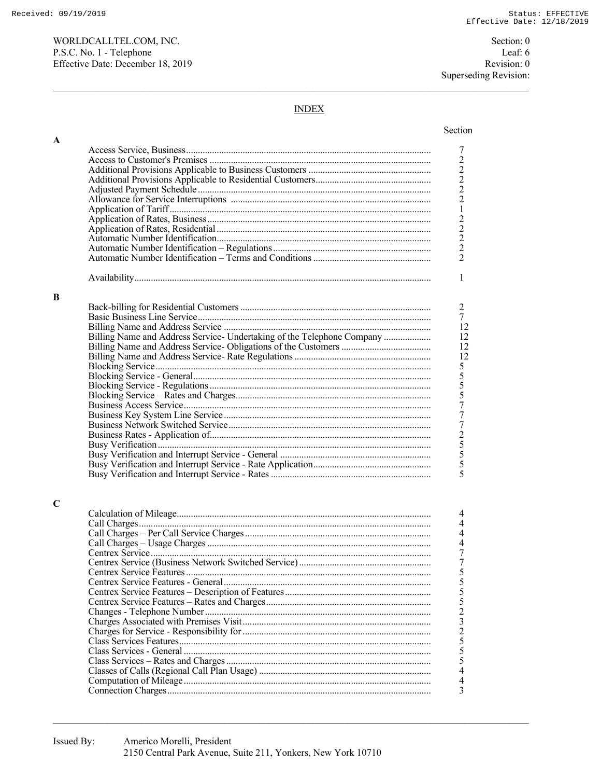$\mathbf A$ 

 $\bf{B}$ 

 $\mathbf C$ 

Section: 0 Leaf: 6 Revision: 0 Superseding Revision:

## **INDEX**

| Billing Name and Address Service- Undertaking of the Telephone Company |
|------------------------------------------------------------------------|
|                                                                        |
|                                                                        |
|                                                                        |
|                                                                        |
|                                                                        |
|                                                                        |
|                                                                        |
|                                                                        |
|                                                                        |
|                                                                        |
|                                                                        |
|                                                                        |
|                                                                        |
|                                                                        |
|                                                                        |
|                                                                        |
|                                                                        |
|                                                                        |
|                                                                        |
|                                                                        |
|                                                                        |
|                                                                        |
|                                                                        |
|                                                                        |
|                                                                        |
|                                                                        |
|                                                                        |
|                                                                        |
|                                                                        |
|                                                                        |
|                                                                        |
|                                                                        |
|                                                                        |
|                                                                        |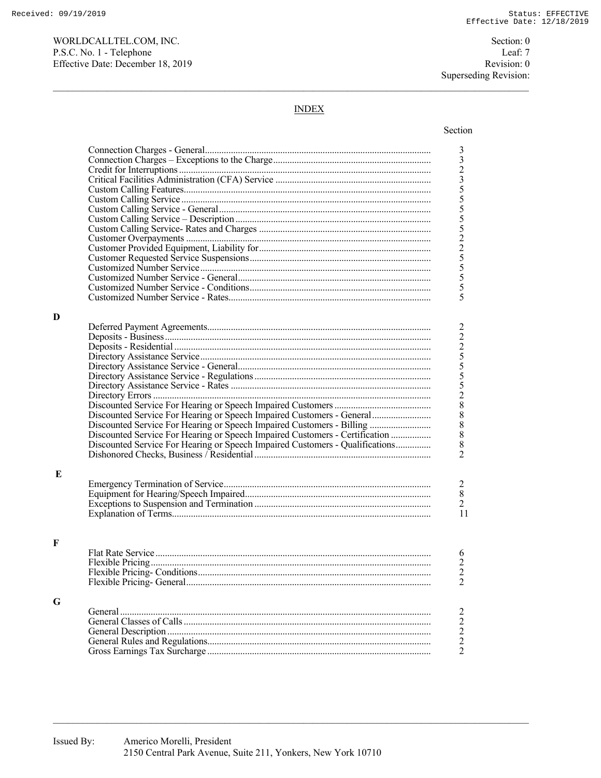Received: 09/19/2019

WORLDCALLTEL.COM, INC. P.S.C. No. 1 - Telephone Effective Date: December 18, 2019

Section: 0 Leaf: 7 Revision: 0 Superseding Revision:

## **INDEX**

|   |                                                                              | 33235555522555555                               |
|---|------------------------------------------------------------------------------|-------------------------------------------------|
|   |                                                                              |                                                 |
|   |                                                                              |                                                 |
|   |                                                                              |                                                 |
|   |                                                                              |                                                 |
|   |                                                                              |                                                 |
|   |                                                                              |                                                 |
|   |                                                                              |                                                 |
|   |                                                                              |                                                 |
|   |                                                                              |                                                 |
|   |                                                                              |                                                 |
|   |                                                                              |                                                 |
|   |                                                                              |                                                 |
|   |                                                                              |                                                 |
|   |                                                                              |                                                 |
|   |                                                                              |                                                 |
| D |                                                                              |                                                 |
|   |                                                                              | $\overline{c}$                                  |
|   |                                                                              |                                                 |
|   |                                                                              |                                                 |
|   |                                                                              |                                                 |
|   |                                                                              |                                                 |
|   |                                                                              |                                                 |
|   |                                                                              |                                                 |
|   |                                                                              | 22555288888                                     |
|   |                                                                              |                                                 |
|   |                                                                              |                                                 |
|   | Discounted Service For Hearing or Speech Impaired Customers - Billing        |                                                 |
|   | Discounted Service For Hearing or Speech Impaired Customers - Certification  |                                                 |
|   | Discounted Service For Hearing or Speech Impaired Customers - Qualifications |                                                 |
|   |                                                                              | $\overline{2}$                                  |
|   |                                                                              |                                                 |
| E |                                                                              |                                                 |
|   |                                                                              |                                                 |
|   |                                                                              | $\frac{2}{8}$                                   |
|   |                                                                              | $\overline{2}$                                  |
|   |                                                                              | 11                                              |
|   |                                                                              |                                                 |
|   |                                                                              |                                                 |
| F |                                                                              |                                                 |
|   |                                                                              | 6                                               |
|   |                                                                              | $\frac{2}{2}$                                   |
|   |                                                                              |                                                 |
|   |                                                                              |                                                 |
|   |                                                                              |                                                 |
| G |                                                                              |                                                 |
|   |                                                                              | $\overline{c}$                                  |
|   |                                                                              |                                                 |
|   |                                                                              |                                                 |
|   |                                                                              | $\begin{array}{c} 2 \\ 2 \\ 2 \\ 2 \end{array}$ |
|   |                                                                              |                                                 |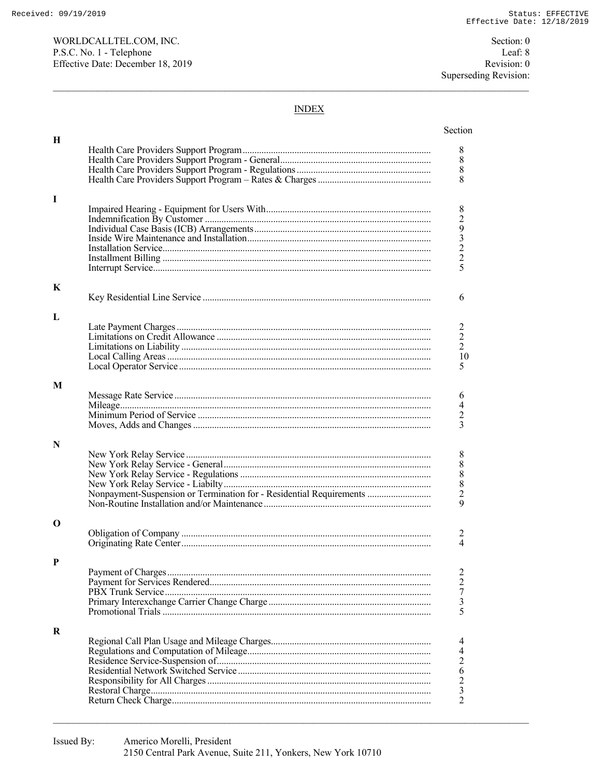Section: 0 Leaf: 8 Revision: 0 Superseding Revision:

### **INDEX**

| Н |                                                                     |                  |
|---|---------------------------------------------------------------------|------------------|
|   |                                                                     | 8                |
|   |                                                                     | $8\,$            |
|   |                                                                     | $\,8\,$          |
|   |                                                                     | 8                |
|   |                                                                     |                  |
| I |                                                                     |                  |
|   |                                                                     | 8293225          |
|   |                                                                     |                  |
|   |                                                                     |                  |
|   |                                                                     |                  |
|   |                                                                     |                  |
|   |                                                                     |                  |
|   |                                                                     |                  |
| K |                                                                     |                  |
|   |                                                                     | 6                |
|   |                                                                     |                  |
| L |                                                                     |                  |
|   |                                                                     | $\overline{c}$   |
|   |                                                                     |                  |
|   |                                                                     | $\frac{2}{2}$    |
|   |                                                                     | 10               |
|   |                                                                     | 5                |
|   |                                                                     |                  |
| M |                                                                     |                  |
|   |                                                                     | 6                |
|   |                                                                     | $\overline{4}$   |
|   |                                                                     | $\sqrt{2}$       |
|   |                                                                     | 3                |
|   |                                                                     |                  |
| N |                                                                     |                  |
|   |                                                                     | 8                |
|   |                                                                     | $\,$ $\,$        |
|   |                                                                     | $\,$ $\,$        |
|   |                                                                     | $\frac{8}{2}$    |
|   | Nonpayment-Suspension or Termination for - Residential Requirements |                  |
|   |                                                                     | 9                |
|   |                                                                     |                  |
| О |                                                                     |                  |
|   |                                                                     | 2                |
|   |                                                                     | 4                |
|   |                                                                     |                  |
| P |                                                                     |                  |
|   |                                                                     | 2                |
|   |                                                                     | $\boldsymbol{2}$ |
|   |                                                                     | $\overline{7}$   |
|   |                                                                     | $\mathfrak{Z}$   |
|   |                                                                     | 5                |
|   |                                                                     |                  |
| R |                                                                     |                  |
|   |                                                                     | 4                |
|   |                                                                     | 4                |
|   |                                                                     | $rac{2}{6}$      |
|   |                                                                     |                  |
|   |                                                                     | $\overline{c}$   |
|   |                                                                     | $\frac{3}{2}$    |
|   |                                                                     |                  |
|   |                                                                     |                  |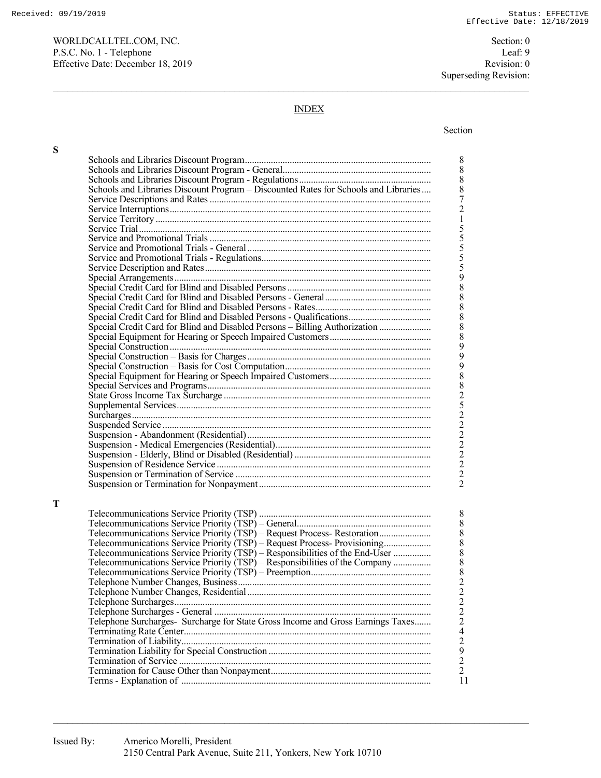WORLDCALLTEL.COM, INC. Section: 0 P.S.C. No. 1 - Telephone Leaf: 9 Effective Date: December 18, 2019 Revision: 0

Superseding Revision:

## INDEX

#### Section 2014 **Section**

**S** 

**T** 

| Schools and Libraries Discount Program - Discounted Rates for Schools and Libraries |
|-------------------------------------------------------------------------------------|
|                                                                                     |
|                                                                                     |
|                                                                                     |
|                                                                                     |
|                                                                                     |
|                                                                                     |
|                                                                                     |
|                                                                                     |
|                                                                                     |
|                                                                                     |
|                                                                                     |
|                                                                                     |
| Special Credit Card for Blind and Disabled Persons - Qualifications                 |
| Special Credit Card for Blind and Disabled Persons - Billing Authorization          |
|                                                                                     |
|                                                                                     |
|                                                                                     |
|                                                                                     |
|                                                                                     |
|                                                                                     |
|                                                                                     |
|                                                                                     |
|                                                                                     |
|                                                                                     |
|                                                                                     |
|                                                                                     |
|                                                                                     |
|                                                                                     |
|                                                                                     |
|                                                                                     |
|                                                                                     |
|                                                                                     |
|                                                                                     |
|                                                                                     |
| Telecommunications Service Priority (TSP) – Request Process- Restoration            |
| Telecommunications Service Priority (TSP) - Request Process- Provisioning           |
| Telecommunications Service Priority $(TSP) - Responsibilities of the End-User$      |
| Telecommunications Service Priority (TSP) – Responsibilities of the Company         |
|                                                                                     |
|                                                                                     |
|                                                                                     |
|                                                                                     |
|                                                                                     |
| Telephone Surcharges- Surcharge for State Gross Income and Gross Earnings Taxes     |
|                                                                                     |
|                                                                                     |
|                                                                                     |
|                                                                                     |
|                                                                                     |
|                                                                                     |